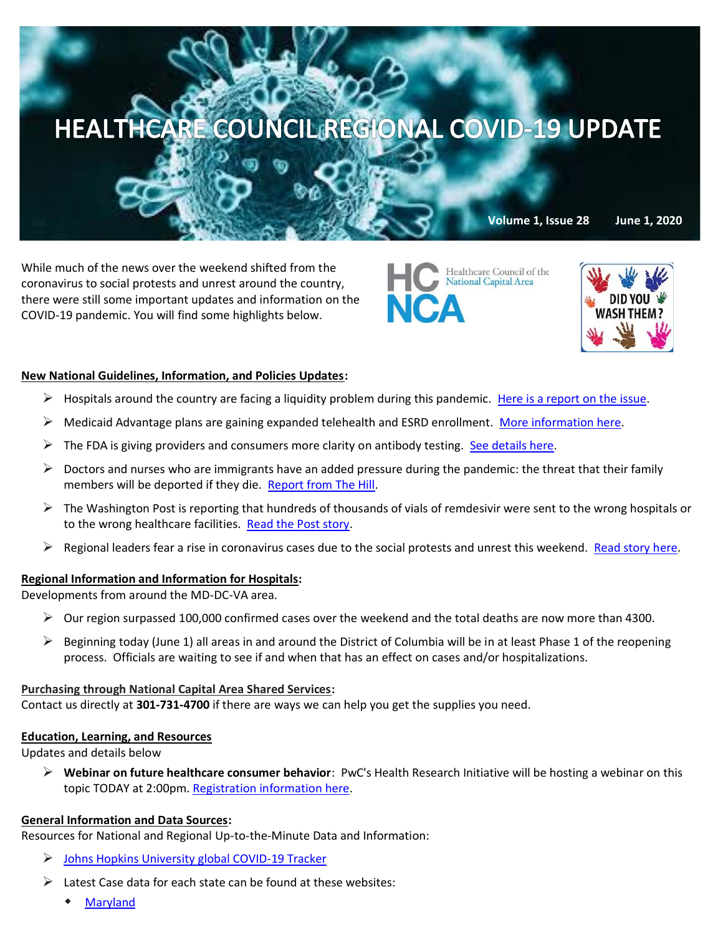# HEALTHCARE COUNCIL REGIONAL COVID-19 UPDATE

While much of the news over the weekend shifted from the coronavirus to social protests and unrest around the country, there were still some important updates and information on the COVID-19 pandemic. You will find some highlights below.

Healthcare Council of the National Capital Area

**Volume 1, Issue 28 June 1, 2020**

## **New National Guidelines, Information, and Policies Updates:**

- $\triangleright$  Hospitals around the country are facing a liquidity problem during this pandemic. [Here is a report on the issue.](https://www.pwc.com/us/en/industries/health-industries/library/covid-hospital-liquidity-crisis.html)
- $\triangleright$  Medicaid Advantage plans are gaining expanded telehealth and ESRD enrollment. [More information here.](https://www.pwc.com/us/en/industries/health-industries/library/medicare-advantage-telehealth-expanded.html?WT.mc_id=CT2-PL200-DM2-TR1-LS4-ND8-PR4-CN_HRINEXTINHEALTH05292020-05292020&pwctrackemail=lpitton@healthcare-council.org)
- $\triangleright$  The FDA is giving providers and consumers more clarity on antibody testing. See details here.
- $\triangleright$  Doctors and nurses who are immigrants have an added pressure during the pandemic: the threat that their family members will be deported if they die. [Report from The Hill.](https://thehill.com/media/499897-immigrant-doctors-prepare-for-familys-deportation-if-they-die-of-coronavirus)
- $\triangleright$  The Washington Post is reporting that hundreds of thousands of vials of remdesivir were sent to the wrong hospitals or to the wrong healthcare facilities. [Read the Post story.](https://www.washingtonpost.com/health/2020/05/28/remdesivir-coronavirus-trump/?mkt_tok=eyJpIjoiWm1GbE5UQmhORGRoWlRnMCIsInQiOiJzaHNSYmt5UnJHcG1hKzdDWFQ1OEVSTEJUWkRoVzVyNmRxVUdMYSszaEhndFV3cEJXcEJkWm5uMEpIbkN2TjllaHJybFcxeSthTVRKVjFqcTRGNVl4OG1PODJFQVpKTTN2OXlCVXEza1dnQXFRaE1yZUQ0QjVEcEs4ak9mZUd5ViJ9)
- $\triangleright$  Regional leaders fear a rise in coronavirus cases due to the social protests and unrest this weekend. [Read story here.](https://www.washingtonpost.com/local/dc-area-leaders-fear-virus-surge-after-protests-but-md-suburbs-continue-to-prepare-for-reopening/2020/05/31/437e78c4-a137-11ea-b5c9-570a91917d8d_story.html)

## **Regional Information and Information for Hospitals:**

Developments from around the MD-DC-VA area.

- $\triangleright$  Our region surpassed 100,000 confirmed cases over the weekend and the total deaths are now more than 4300.
- $\triangleright$  Beginning today (June 1) all areas in and around the District of Columbia will be in at least Phase 1 of the reopening process. Officials are waiting to see if and when that has an effect on cases and/or hospitalizations.

#### **Purchasing through National Capital Area Shared Services:**

Contact us directly at **301-731-4700** if there are ways we can help you get the supplies you need.

#### **Education, Learning, and Resources**

Updates and details below

➢ **Webinar on future healthcare consumer behavior**: PwC's Health Research Initiative will be hosting a webinar on this topic TODAY at 2:00pm. [Registration information here.](https://ehealthinitiative.zoom.us/webinar/register/WN_LvIPZXSnQ2-hsGEBRQBI3w?WT.mc_id=CT2-PL200-DM2-TR1-LS4-ND8-PR4-CN_HRINEXTINHEALTH05292020-05292020&pwctrackemail=data-amp-placeholder-1-amp-end)

## **General Information and Data Sources:**

Resources for National and Regional Up-to-the-Minute Data and Information:

- ➢ [Johns Hopkins University global COVID-19 Tracker](https://gisanddata.maps.arcgis.com/apps/opsdashboard/index.html#/bda7594740fd40299423467b48e9ecf6)
- $\triangleright$  Latest Case data for each state can be found at these websites:
	- [Maryland](https://coronavirus.maryland.gov/)